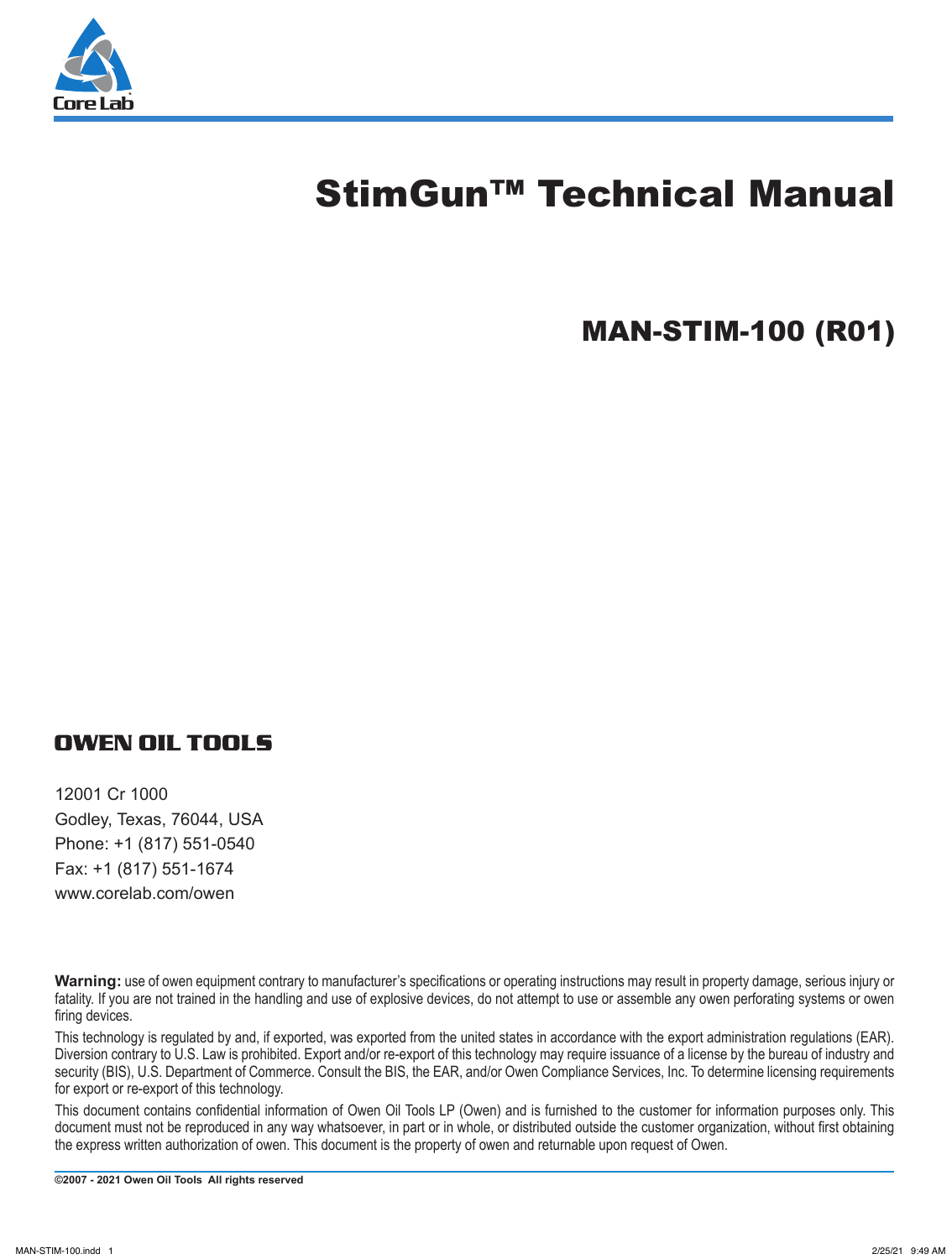

# StimGun™ Technical Manual

# MAN-STIM-100 (R01)

## **OWEN OIL TOOLS**

12001 Cr 1000 Godley, Texas, 76044, USA Phone: +1 (817) 551-0540 Fax: +1 (817) 551-1674 www.corelab.com/owen

**Warning:** use of owen equipment contrary to manufacturer's specifications or operating instructions may result in property damage, serious injury or fatality. If you are not trained in the handling and use of explosive devices, do not attempt to use or assemble any owen perforating systems or owen firing devices.

This technology is regulated by and, if exported, was exported from the united states in accordance with the export administration regulations (EAR). Diversion contrary to U.S. Law is prohibited. Export and/or re-export of this technology may require issuance of a license by the bureau of industry and security (BIS), U.S. Department of Commerce. Consult the BIS, the EAR, and/or Owen Compliance Services, Inc. To determine licensing requirements for export or re-export of this technology.

This document contains confidential information of Owen Oil Tools LP (Owen) and is furnished to the customer for information purposes only. This document must not be reproduced in any way whatsoever, in part or in whole, or distributed outside the customer organization, without first obtaining the express written authorization of owen. This document is the property of owen and returnable upon request of Owen.

**©2007 - 2021 Owen Oil Tools All rights reserved**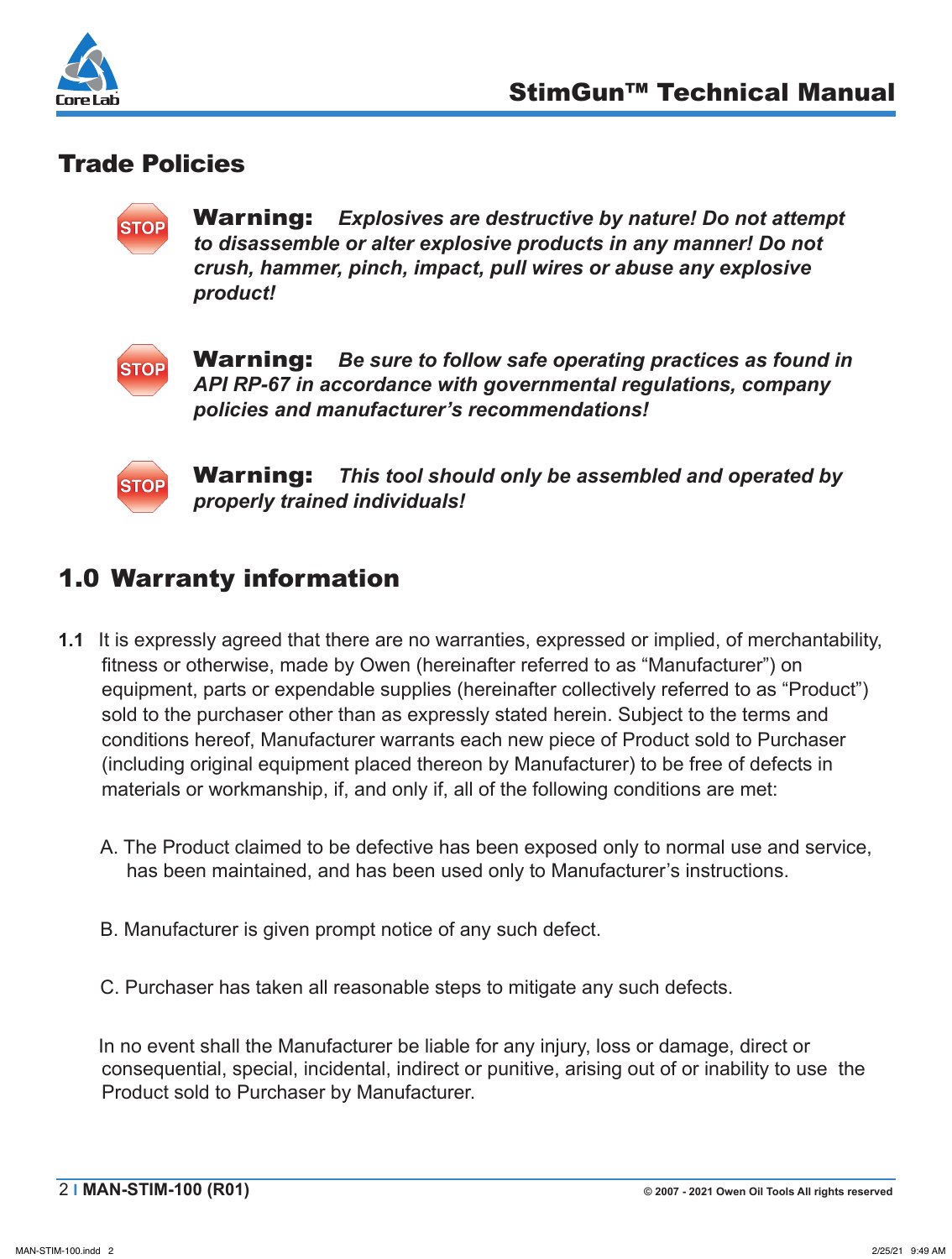

## Trade Policies

**STOP** 

Warning: *Explosives are destructive by nature! Do not attempt to disassemble or alter explosive products in any manner! Do not crush, hammer, pinch, impact, pull wires or abuse any explosive product!*



Warning: *Be sure to follow safe operating practices as found in API RP-67 in accordance with governmental regulations, company policies and manufacturer's recommendations!*



Warning: *This tool should only be assembled and operated by properly trained individuals!*

## 1.0 Warranty information

- **1.1** It is expressly agreed that there are no warranties, expressed or implied, of merchantability, fitness or otherwise, made by Owen (hereinafter referred to as "Manufacturer") on equipment, parts or expendable supplies (hereinafter collectively referred to as "Product") sold to the purchaser other than as expressly stated herein. Subject to the terms and conditions hereof, Manufacturer warrants each new piece of Product sold to Purchaser (including original equipment placed thereon by Manufacturer) to be free of defects in materials or workmanship, if, and only if, all of the following conditions are met:
	- A. The Product claimed to be defective has been exposed only to normal use and service, has been maintained, and has been used only to Manufacturer's instructions.
	- B. Manufacturer is given prompt notice of any such defect.
	- C. Purchaser has taken all reasonable steps to mitigate any such defects.

In no event shall the Manufacturer be liable for any injury, loss or damage, direct or consequential, special, incidental, indirect or punitive, arising out of or inability to use the Product sold to Purchaser by Manufacturer.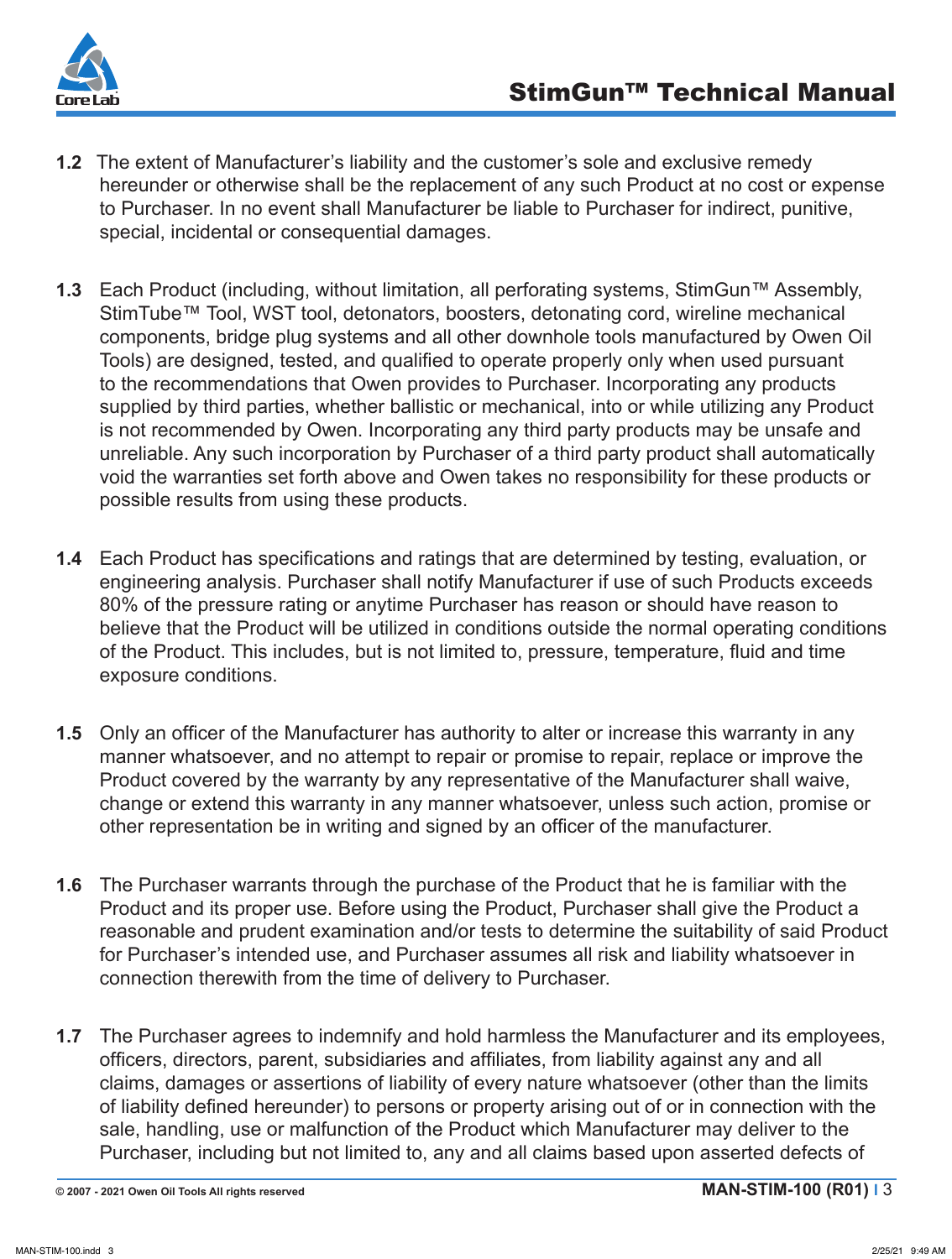

- **1.2** The extent of Manufacturer's liability and the customer's sole and exclusive remedy hereunder or otherwise shall be the replacement of any such Product at no cost or expense to Purchaser. In no event shall Manufacturer be liable to Purchaser for indirect, punitive, special, incidental or consequential damages.
- **1.3** Each Product (including, without limitation, all perforating systems, StimGun™ Assembly, StimTube™ Tool, WST tool, detonators, boosters, detonating cord, wireline mechanical components, bridge plug systems and all other downhole tools manufactured by Owen Oil Tools) are designed, tested, and qualified to operate properly only when used pursuant to the recommendations that Owen provides to Purchaser. Incorporating any products supplied by third parties, whether ballistic or mechanical, into or while utilizing any Product is not recommended by Owen. Incorporating any third party products may be unsafe and unreliable. Any such incorporation by Purchaser of a third party product shall automatically void the warranties set forth above and Owen takes no responsibility for these products or possible results from using these products.
- **1.4** Each Product has specifications and ratings that are determined by testing, evaluation, or engineering analysis. Purchaser shall notify Manufacturer if use of such Products exceeds 80% of the pressure rating or anytime Purchaser has reason or should have reason to believe that the Product will be utilized in conditions outside the normal operating conditions of the Product. This includes, but is not limited to, pressure, temperature, fluid and time exposure conditions.
- **1.5** Only an officer of the Manufacturer has authority to alter or increase this warranty in any manner whatsoever, and no attempt to repair or promise to repair, replace or improve the Product covered by the warranty by any representative of the Manufacturer shall waive, change or extend this warranty in any manner whatsoever, unless such action, promise or other representation be in writing and signed by an officer of the manufacturer.
- **1.6** The Purchaser warrants through the purchase of the Product that he is familiar with the Product and its proper use. Before using the Product, Purchaser shall give the Product a reasonable and prudent examination and/or tests to determine the suitability of said Product for Purchaser's intended use, and Purchaser assumes all risk and liability whatsoever in connection therewith from the time of delivery to Purchaser.
- **1.7** The Purchaser agrees to indemnify and hold harmless the Manufacturer and its employees, officers, directors, parent, subsidiaries and affiliates, from liability against any and all claims, damages or assertions of liability of every nature whatsoever (other than the limits of liability defined hereunder) to persons or property arising out of or in connection with the sale, handling, use or malfunction of the Product which Manufacturer may deliver to the Purchaser, including but not limited to, any and all claims based upon asserted defects of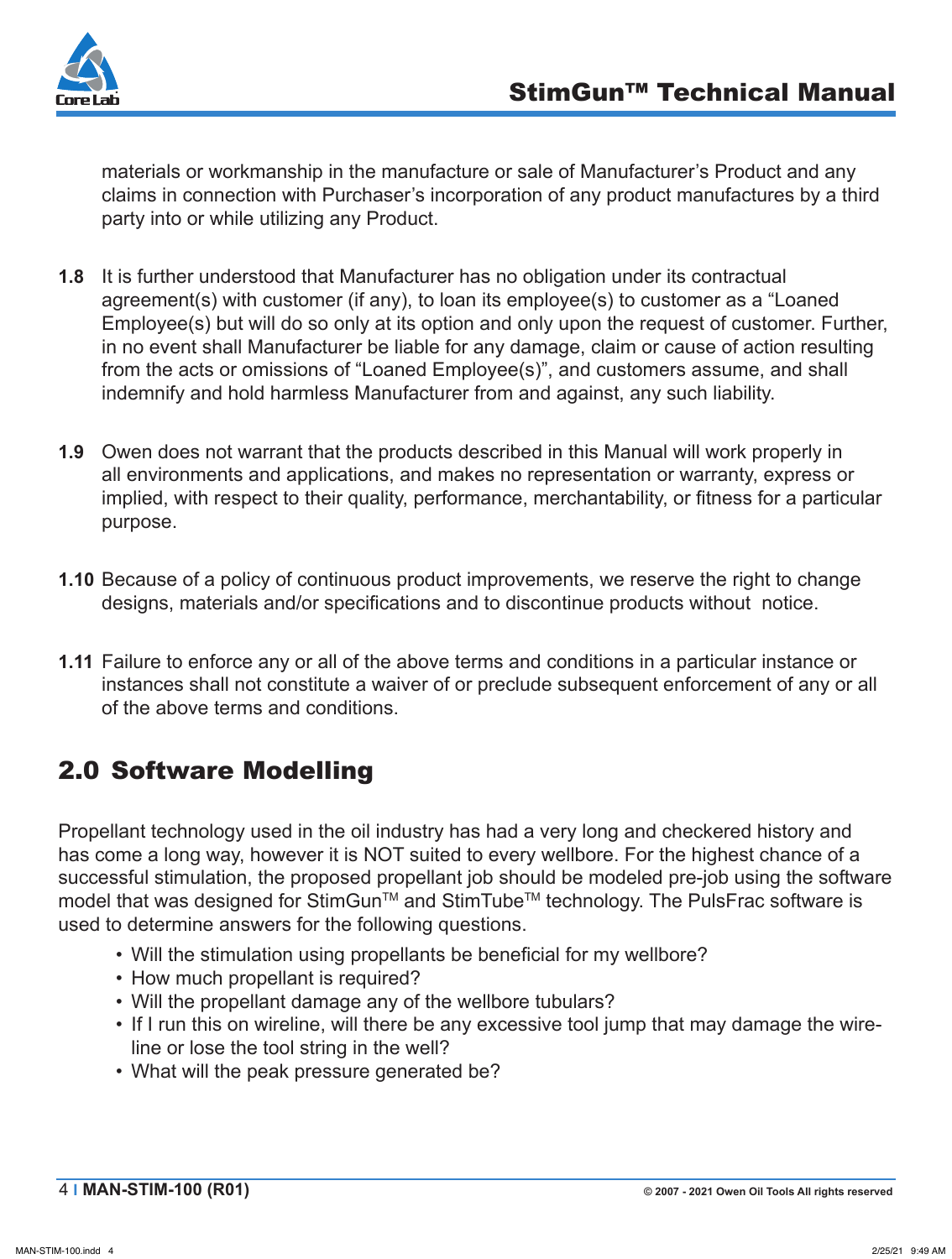

materials or workmanship in the manufacture or sale of Manufacturer's Product and any claims in connection with Purchaser's incorporation of any product manufactures by a third party into or while utilizing any Product.

- **1.8** It is further understood that Manufacturer has no obligation under its contractual agreement(s) with customer (if any), to loan its employee(s) to customer as a "Loaned Employee(s) but will do so only at its option and only upon the request of customer. Further, in no event shall Manufacturer be liable for any damage, claim or cause of action resulting from the acts or omissions of "Loaned Employee(s)", and customers assume, and shall indemnify and hold harmless Manufacturer from and against, any such liability.
- **1.9** Owen does not warrant that the products described in this Manual will work properly in all environments and applications, and makes no representation or warranty, express or implied, with respect to their quality, performance, merchantability, or fitness for a particular purpose.
- **1.10** Because of a policy of continuous product improvements, we reserve the right to change designs, materials and/or specifications and to discontinue products without notice.
- **1.11** Failure to enforce any or all of the above terms and conditions in a particular instance or instances shall not constitute a waiver of or preclude subsequent enforcement of any or all of the above terms and conditions.

## 2.0 Software Modelling

Propellant technology used in the oil industry has had a very long and checkered history and has come a long way, however it is NOT suited to every wellbore. For the highest chance of a successful stimulation, the proposed propellant job should be modeled pre-job using the software model that was designed for StimGun™ and StimTube™ technology. The PulsFrac software is used to determine answers for the following questions.

- Will the stimulation using propellants be beneficial for my wellbore?
- How much propellant is required?
- Will the propellant damage any of the wellbore tubulars?
- If I run this on wireline, will there be any excessive tool jump that may damage the wireline or lose the tool string in the well?
- What will the peak pressure generated be?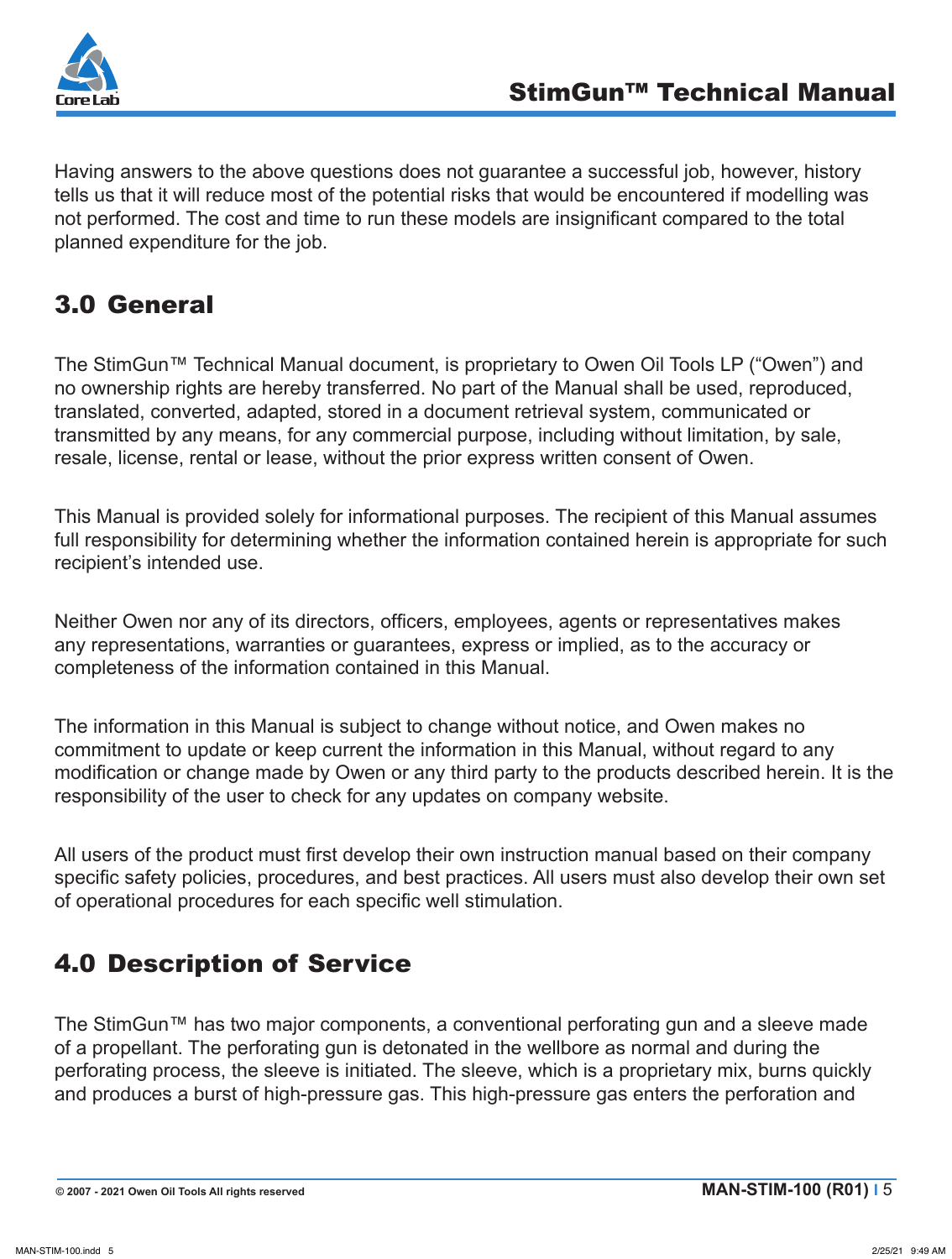

Having answers to the above questions does not guarantee a successful job, however, history tells us that it will reduce most of the potential risks that would be encountered if modelling was not performed. The cost and time to run these models are insignificant compared to the total planned expenditure for the job.

## 3.0 General

The StimGun™ Technical Manual document, is proprietary to Owen Oil Tools LP ("Owen") and no ownership rights are hereby transferred. No part of the Manual shall be used, reproduced, translated, converted, adapted, stored in a document retrieval system, communicated or transmitted by any means, for any commercial purpose, including without limitation, by sale, resale, license, rental or lease, without the prior express written consent of Owen.

This Manual is provided solely for informational purposes. The recipient of this Manual assumes full responsibility for determining whether the information contained herein is appropriate for such recipient's intended use.

Neither Owen nor any of its directors, officers, employees, agents or representatives makes any representations, warranties or guarantees, express or implied, as to the accuracy or completeness of the information contained in this Manual.

The information in this Manual is subject to change without notice, and Owen makes no commitment to update or keep current the information in this Manual, without regard to any modification or change made by Owen or any third party to the products described herein. It is the responsibility of the user to check for any updates on company website.

All users of the product must first develop their own instruction manual based on their company specific safety policies, procedures, and best practices. All users must also develop their own set of operational procedures for each specific well stimulation.

# 4.0 Description of Service

The StimGun™ has two major components, a conventional perforating gun and a sleeve made of a propellant. The perforating gun is detonated in the wellbore as normal and during the perforating process, the sleeve is initiated. The sleeve, which is a proprietary mix, burns quickly and produces a burst of high-pressure gas. This high-pressure gas enters the perforation and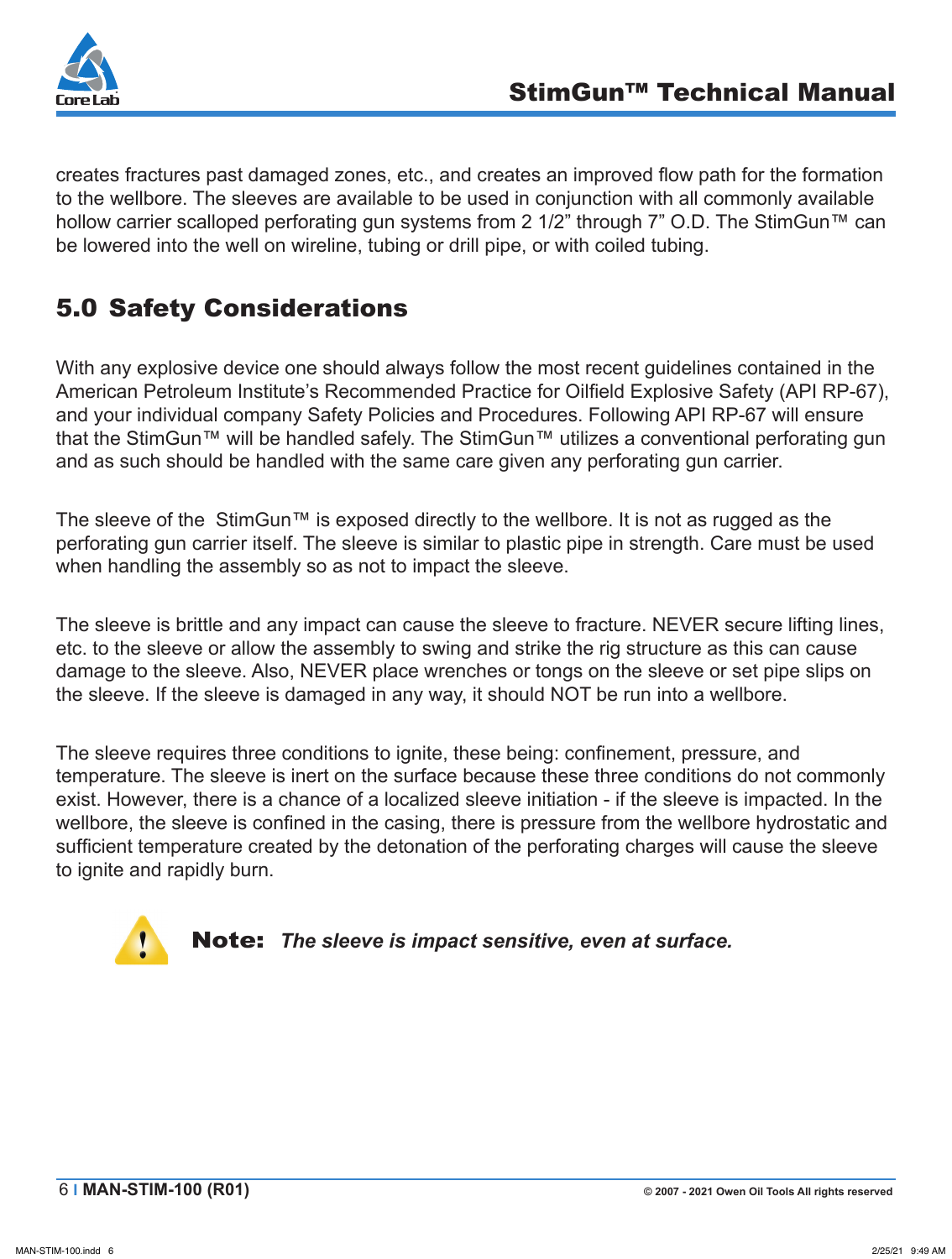

creates fractures past damaged zones, etc., and creates an improved flow path for the formation to the wellbore. The sleeves are available to be used in conjunction with all commonly available hollow carrier scalloped perforating gun systems from 2 1/2" through 7" O.D. The StimGun™ can be lowered into the well on wireline, tubing or drill pipe, or with coiled tubing.

# 5.0 Safety Considerations

With any explosive device one should always follow the most recent guidelines contained in the American Petroleum Institute's Recommended Practice for Oilfield Explosive Safety (API RP-67), and your individual company Safety Policies and Procedures. Following API RP-67 will ensure that the StimGun™ will be handled safely. The StimGun™ utilizes a conventional perforating gun and as such should be handled with the same care given any perforating gun carrier.

The sleeve of the StimGun™ is exposed directly to the wellbore. It is not as rugged as the perforating gun carrier itself. The sleeve is similar to plastic pipe in strength. Care must be used when handling the assembly so as not to impact the sleeve.

The sleeve is brittle and any impact can cause the sleeve to fracture. NEVER secure lifting lines, etc. to the sleeve or allow the assembly to swing and strike the rig structure as this can cause damage to the sleeve. Also, NEVER place wrenches or tongs on the sleeve or set pipe slips on the sleeve. If the sleeve is damaged in any way, it should NOT be run into a wellbore.

The sleeve requires three conditions to ignite, these being: confinement, pressure, and temperature. The sleeve is inert on the surface because these three conditions do not commonly exist. However, there is a chance of a localized sleeve initiation - if the sleeve is impacted. In the wellbore, the sleeve is confined in the casing, there is pressure from the wellbore hydrostatic and sufficient temperature created by the detonation of the perforating charges will cause the sleeve to ignite and rapidly burn.



Note: *The sleeve is impact sensitive, even at surface.*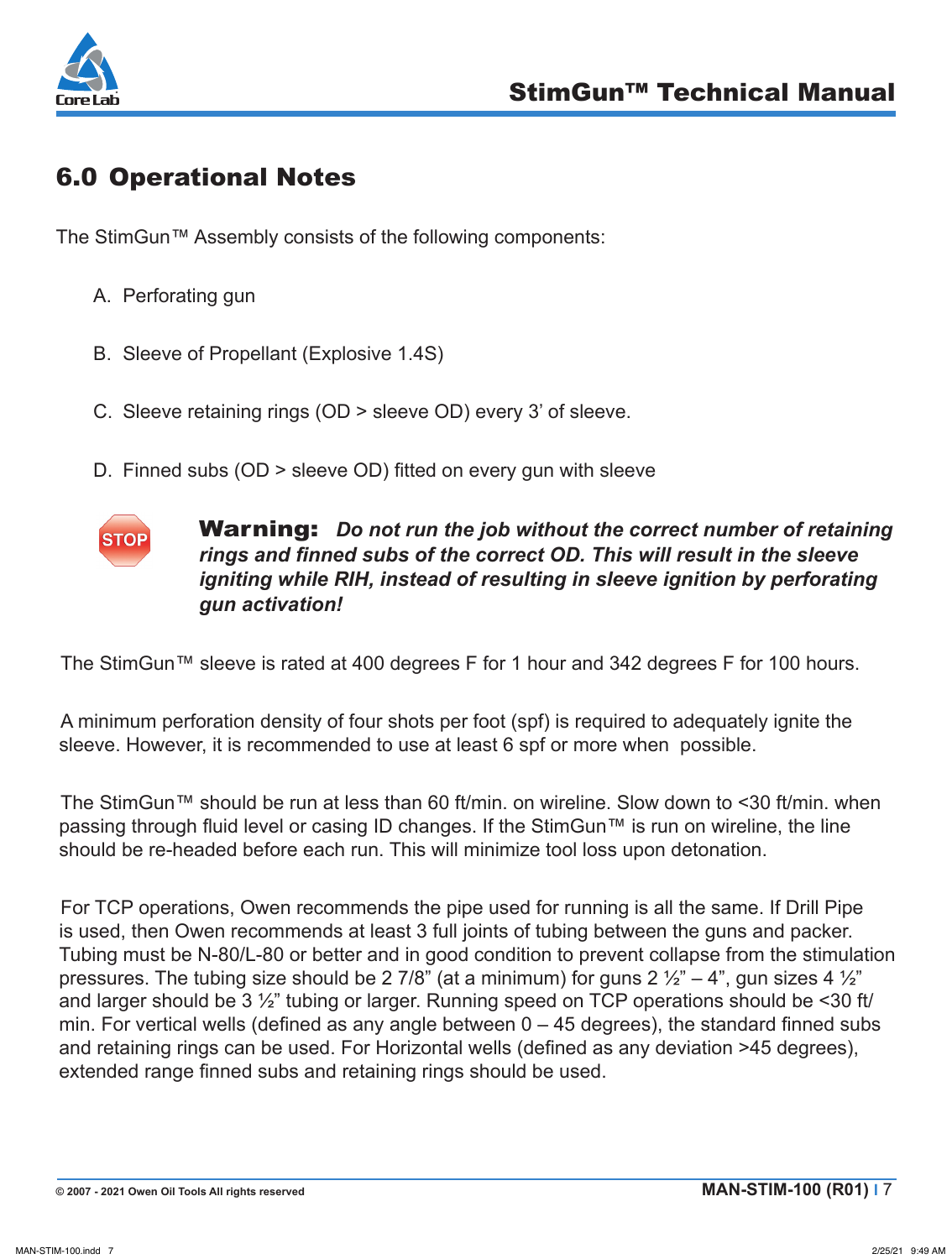

## 6.0 Operational Notes

The StimGun™ Assembly consists of the following components:

- A. Perforating gun
- B. Sleeve of Propellant (Explosive 1.4S)
- C. Sleeve retaining rings (OD > sleeve OD) every 3' of sleeve.
- D. Finned subs (OD > sleeve OD) fitted on every gun with sleeve

# **STOP**

Warning: *Do not run the job without the correct number of retaining rings and finned subs of the correct OD. This will result in the sleeve igniting while RIH, instead of resulting in sleeve ignition by perforating gun activation!*

The StimGun™ sleeve is rated at 400 degrees F for 1 hour and 342 degrees F for 100 hours.

A minimum perforation density of four shots per foot (spf) is required to adequately ignite the sleeve. However, it is recommended to use at least 6 spf or more when possible.

The StimGun™ should be run at less than 60 ft/min. on wireline. Slow down to <30 ft/min. when passing through fluid level or casing ID changes. If the StimGun™ is run on wireline, the line should be re-headed before each run. This will minimize tool loss upon detonation.

For TCP operations, Owen recommends the pipe used for running is all the same. If Drill Pipe is used, then Owen recommends at least 3 full joints of tubing between the guns and packer. Tubing must be N-80/L-80 or better and in good condition to prevent collapse from the stimulation pressures. The tubing size should be 2 7/8" (at a minimum) for guns  $2 \frac{1}{2}$ " – 4", gun sizes 4  $\frac{1}{2}$ " and larger should be 3 ½" tubing or larger. Running speed on TCP operations should be <30 ft/ min. For vertical wells (defined as any angle between 0 – 45 degrees), the standard finned subs and retaining rings can be used. For Horizontal wells (defined as any deviation >45 degrees), extended range finned subs and retaining rings should be used.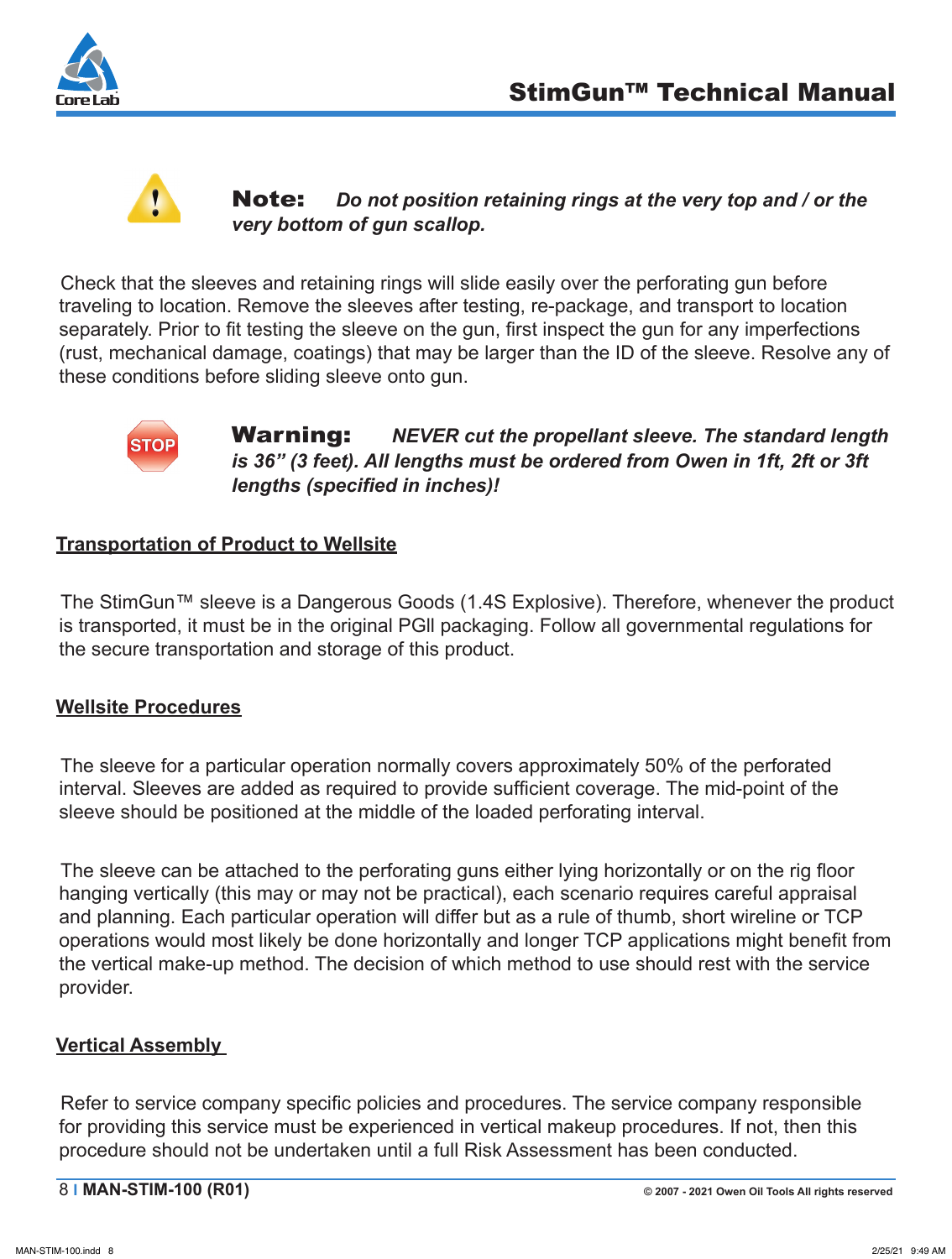



## **Note:** Do not position retaining rings at the very top and / or the *very bottom of gun scallop.*

Check that the sleeves and retaining rings will slide easily over the perforating gun before traveling to location. Remove the sleeves after testing, re-package, and transport to location separately. Prior to fit testing the sleeve on the gun, first inspect the gun for any imperfections (rust, mechanical damage, coatings) that may be larger than the ID of the sleeve. Resolve any of these conditions before sliding sleeve onto gun.



## Warning: *NEVER cut the propellant sleeve. The standard length*  is 36" (3 feet). All lengths must be ordered from Owen in 1ft, 2ft or 3ft *lengths (specified in inches)!*

## **Transportation of Product to Wellsite**

The StimGun™ sleeve is a Dangerous Goods (1.4S Explosive). Therefore, whenever the product is transported, it must be in the original PGll packaging. Follow all governmental regulations for the secure transportation and storage of this product.

## **Wellsite Procedures**

The sleeve for a particular operation normally covers approximately 50% of the perforated interval. Sleeves are added as required to provide sufficient coverage. The mid-point of the sleeve should be positioned at the middle of the loaded perforating interval.

The sleeve can be attached to the perforating guns either lying horizontally or on the rig floor hanging vertically (this may or may not be practical), each scenario requires careful appraisal and planning. Each particular operation will differ but as a rule of thumb, short wireline or TCP operations would most likely be done horizontally and longer TCP applications might benefit from the vertical make-up method. The decision of which method to use should rest with the service provider.

#### **Vertical Assembly**

Refer to service company specific policies and procedures. The service company responsible for providing this service must be experienced in vertical makeup procedures. If not, then this procedure should not be undertaken until a full Risk Assessment has been conducted.

8 **I MAN-STIM-100 (R01) © 2007 - 2021 Owen Oil Tools All rights reserved**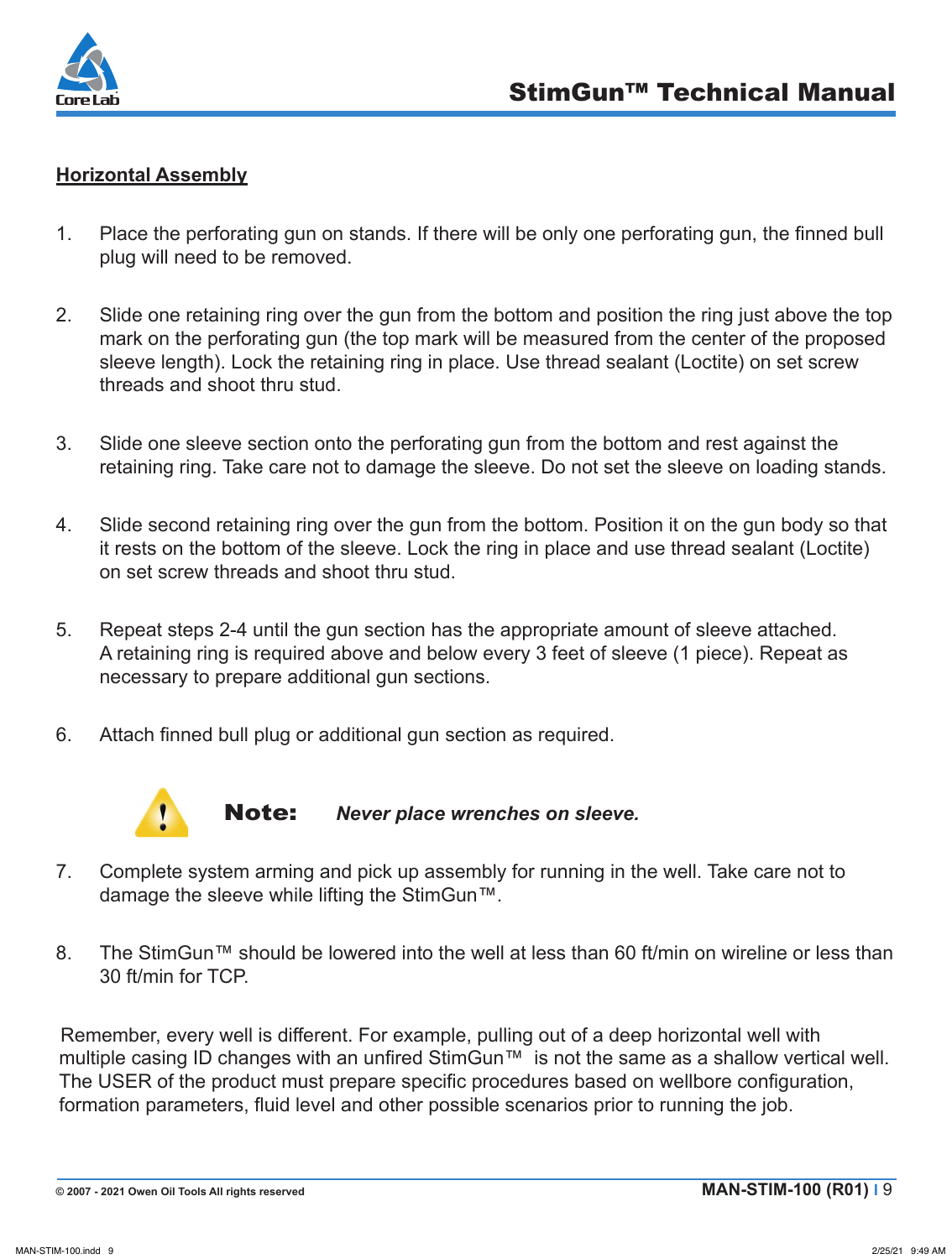

## **Horizontal Assembly**

- 1. Place the perforating gun on stands. If there will be only one perforating gun, the finned bull plug will need to be removed.
- 2. Slide one retaining ring over the gun from the bottom and position the ring just above the top mark on the perforating gun (the top mark will be measured from the center of the proposed sleeve length). Lock the retaining ring in place. Use thread sealant (Loctite) on set screw threads and shoot thru stud.
- 3. Slide one sleeve section onto the perforating gun from the bottom and rest against the retaining ring. Take care not to damage the sleeve. Do not set the sleeve on loading stands.
- 4. Slide second retaining ring over the gun from the bottom. Position it on the gun body so that it rests on the bottom of the sleeve. Lock the ring in place and use thread sealant (Loctite) on set screw threads and shoot thru stud.
- 5. Repeat steps 2-4 until the gun section has the appropriate amount of sleeve attached. A retaining ring is required above and below every 3 feet of sleeve (1 piece). Repeat as necessary to prepare additional gun sections.
- 6. Attach finned bull plug or additional gun section as required.



Note: *Never place wrenches on sleeve.*

- 7. Complete system arming and pick up assembly for running in the well. Take care not to damage the sleeve while lifting the StimGun™.
- 8. The StimGun™ should be lowered into the well at less than 60 ft/min on wireline or less than 30 ft/min for TCP.

Remember, every well is different. For example, pulling out of a deep horizontal well with multiple casing ID changes with an unfired StimGun<sup>™</sup> is not the same as a shallow vertical well. The USER of the product must prepare specific procedures based on wellbore configuration, formation parameters, fluid level and other possible scenarios prior to running the job.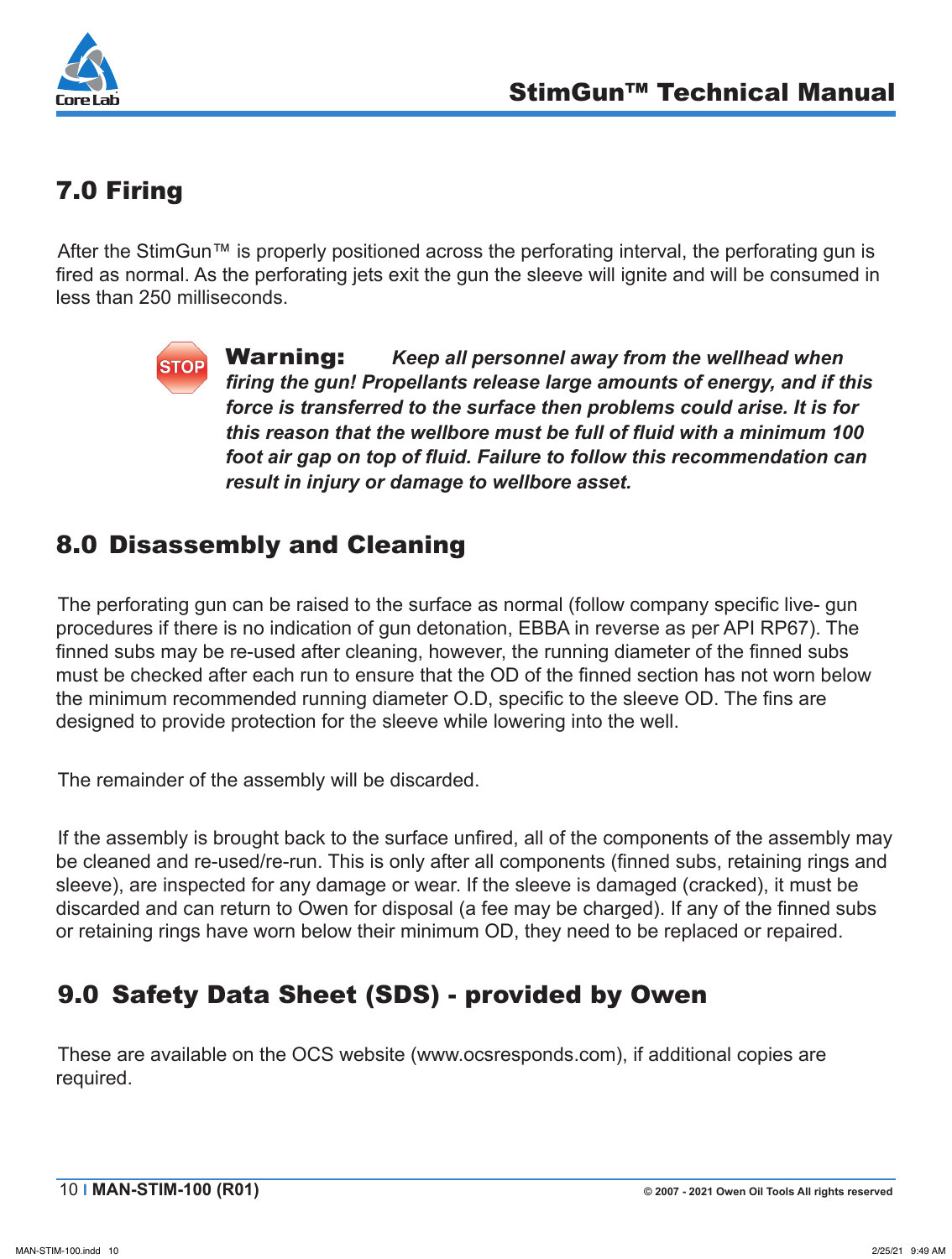

# 7.0 Firing

After the StimGun™ is properly positioned across the perforating interval, the perforating gun is fired as normal. As the perforating jets exit the gun the sleeve will ignite and will be consumed in less than 250 milliseconds.

Warning: *Keep all personnel away from the wellhead when firing the gun! Propellants release large amounts of energy, and if this force is transferred to the surface then problems could arise. It is for this reason that the wellbore must be full of fluid with a minimum 100 foot air gap on top of fluid. Failure to follow this recommendation can result in injury or damage to wellbore asset.*

## 8.0 Disassembly and Cleaning

The perforating gun can be raised to the surface as normal (follow company specific live- gun procedures if there is no indication of gun detonation, EBBA in reverse as per API RP67). The finned subs may be re-used after cleaning, however, the running diameter of the finned subs must be checked after each run to ensure that the OD of the finned section has not worn below the minimum recommended running diameter O.D, specific to the sleeve OD. The fins are designed to provide protection for the sleeve while lowering into the well.

The remainder of the assembly will be discarded.

If the assembly is brought back to the surface unfired, all of the components of the assembly may be cleaned and re-used/re-run. This is only after all components (finned subs, retaining rings and sleeve), are inspected for any damage or wear. If the sleeve is damaged (cracked), it must be discarded and can return to Owen for disposal (a fee may be charged). If any of the finned subs or retaining rings have worn below their minimum OD, they need to be replaced or repaired.

# 9.0 Safety Data Sheet (SDS) - provided by Owen

These are available on the OCS website (www.ocsresponds.com), if additional copies are required.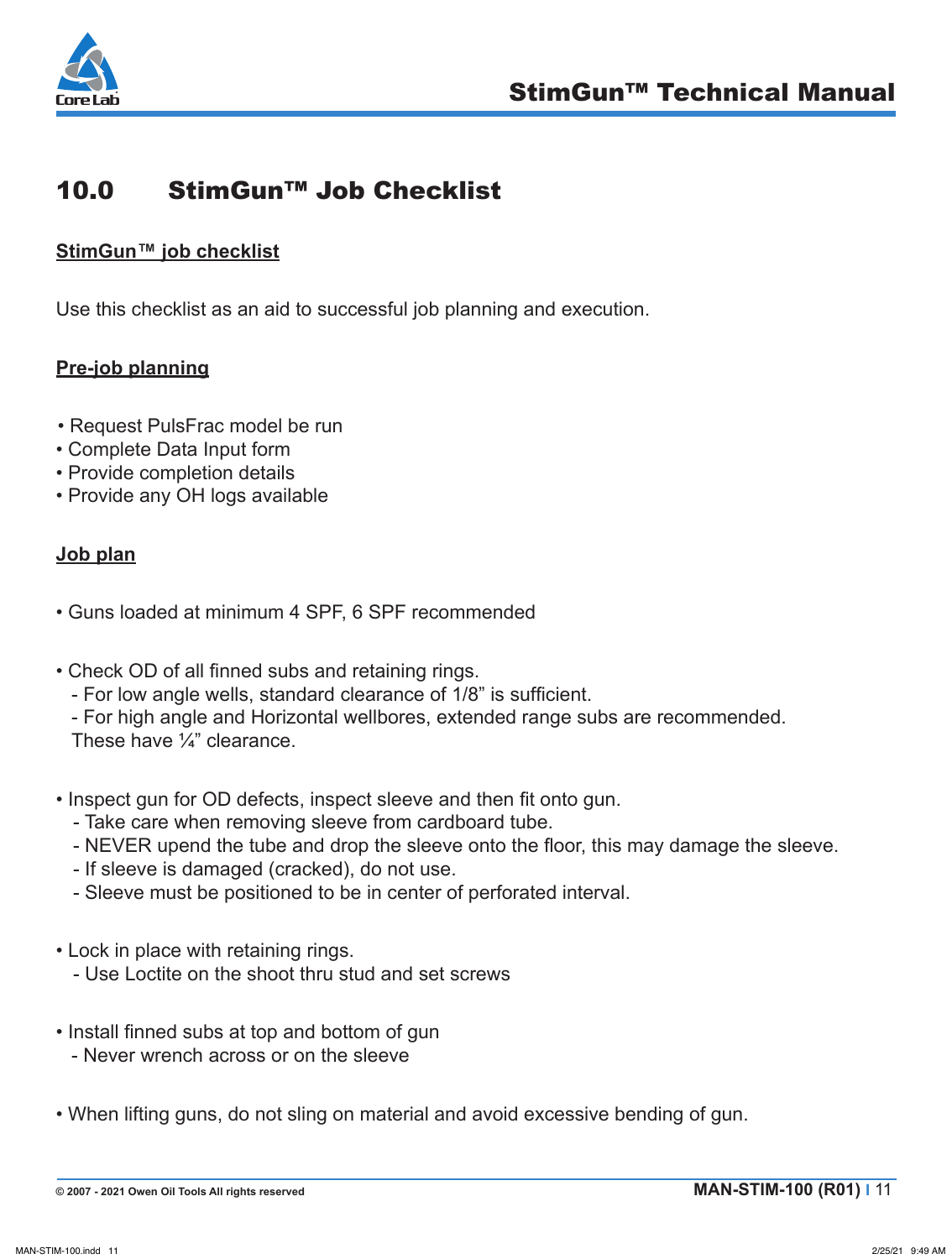

## 10.0 StimGun™ Job Checklist

#### **StimGun™ job checklist**

Use this checklist as an aid to successful job planning and execution.

### **Pre-job planning**

- Request PulsFrac model be run
- Complete Data Input form
- Provide completion details
- Provide any OH logs available

#### **Job plan**

- Guns loaded at minimum 4 SPF, 6 SPF recommended
- Check OD of all finned subs and retaining rings.
	- For low angle wells, standard clearance of 1/8" is sufficient.
	- For high angle and Horizontal wellbores, extended range subs are recommended.
	- These have ¼" clearance.
- Inspect gun for OD defects, inspect sleeve and then fit onto gun.
	- Take care when removing sleeve from cardboard tube.
	- NEVER upend the tube and drop the sleeve onto the floor, this may damage the sleeve.
	- If sleeve is damaged (cracked), do not use.
	- Sleeve must be positioned to be in center of perforated interval.
- Lock in place with retaining rings.
	- Use Loctite on the shoot thru stud and set screws
- Install finned subs at top and bottom of gun
	- Never wrench across or on the sleeve
- When lifting guns, do not sling on material and avoid excessive bending of gun.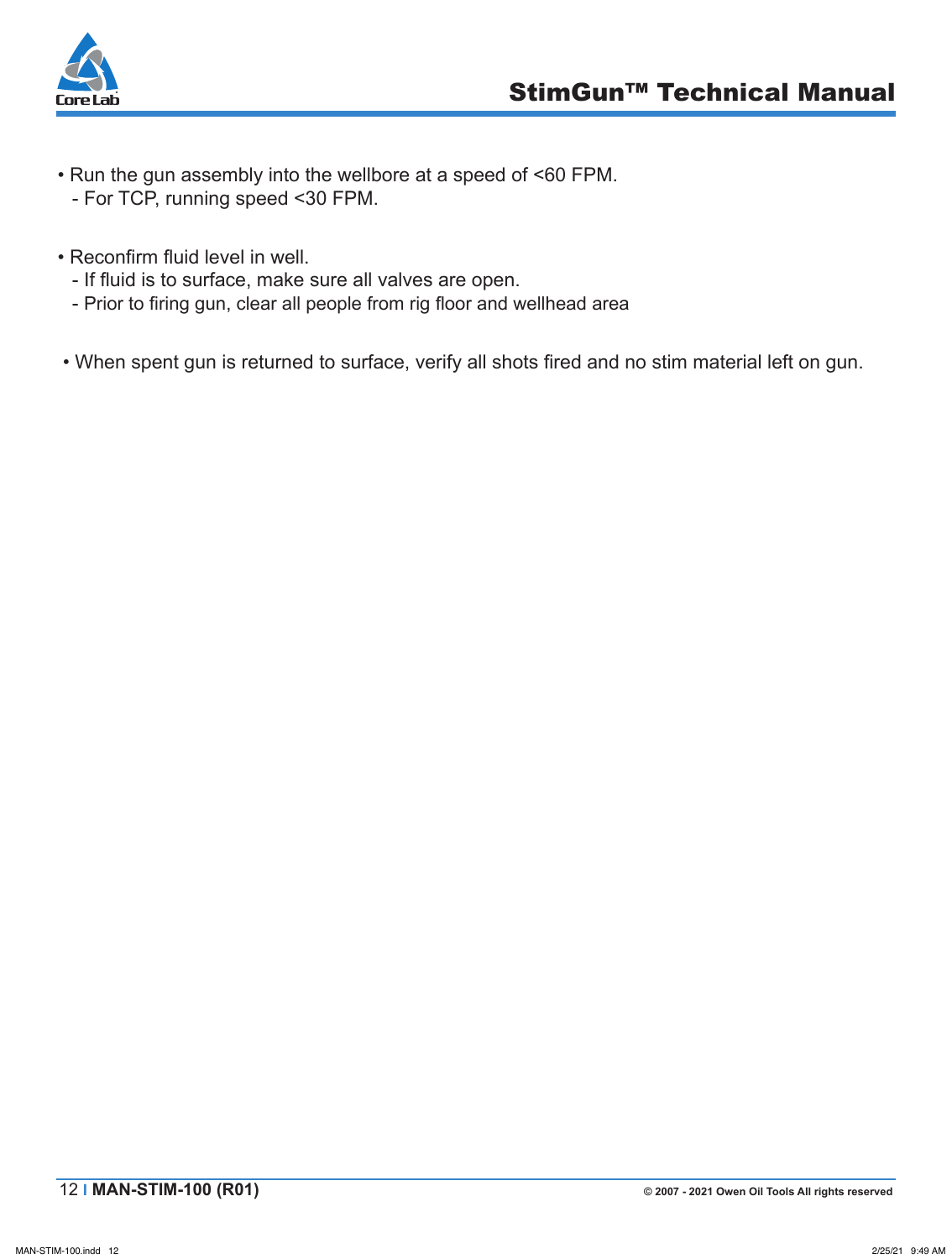

- Run the gun assembly into the wellbore at a speed of <60 FPM. - For TCP, running speed <30 FPM.
- Reconfirm fluid level in well.
	- If fluid is to surface, make sure all valves are open.
	- Prior to firing gun, clear all people from rig floor and wellhead area
- When spent gun is returned to surface, verify all shots fired and no stim material left on gun.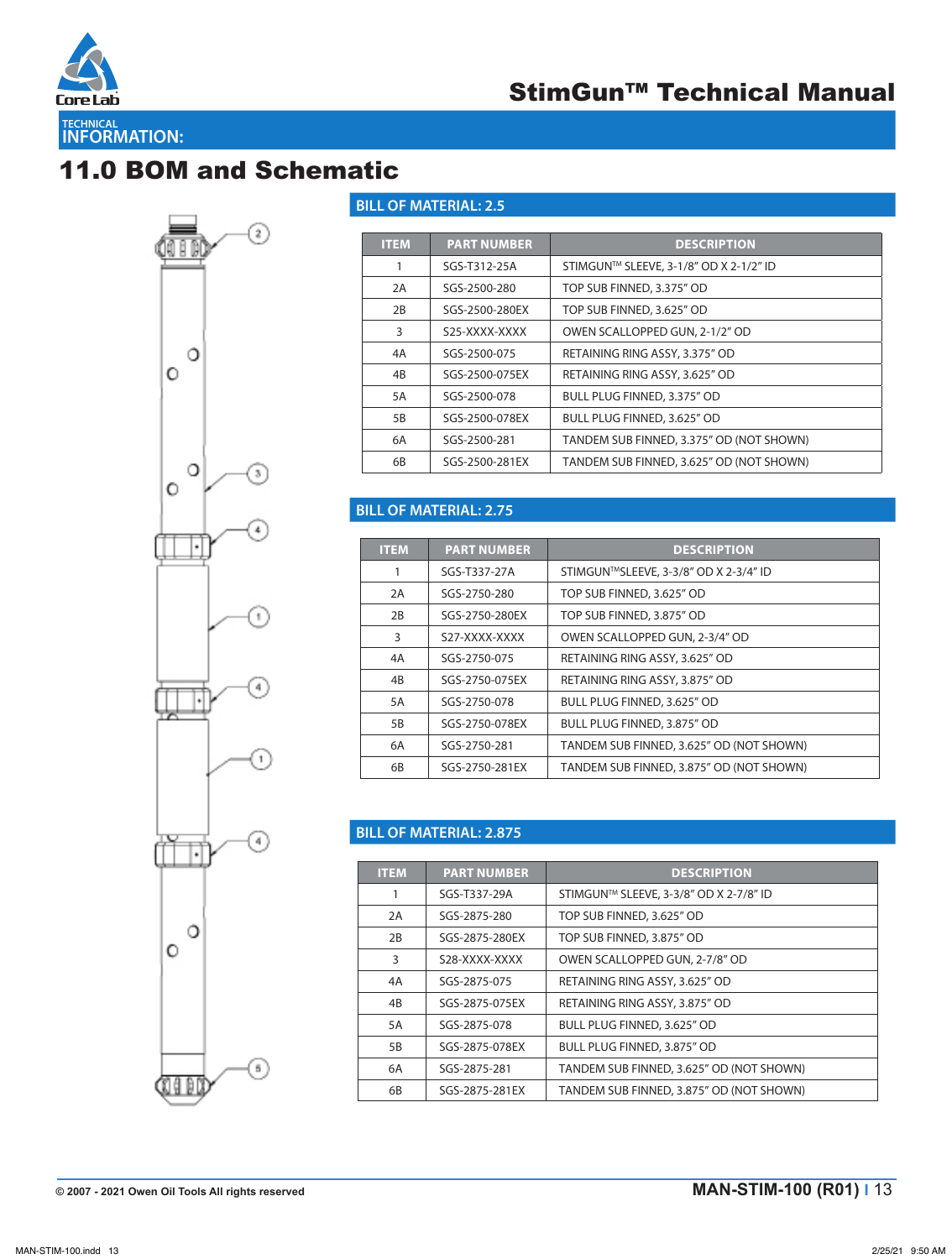

# 11.0 BOM and Schematic



#### **BILL OF MATERIAL: 2.5**

| <b>ITEM</b> | <b>PART NUMBER</b> | <b>DESCRIPTION</b>                       |
|-------------|--------------------|------------------------------------------|
|             | SGS-T312-25A       | STIMGUN™ SLEEVE, 3-1/8" OD X 2-1/2" ID   |
| 2A          | SGS-2500-280       | TOP SUB FINNED, 3.375" OD                |
| 2B          | SGS-2500-280EX     | TOP SUB FINNED, 3.625" OD                |
| 3           | S25-XXXX-XXXX      | OWEN SCALLOPPED GUN, 2-1/2" OD           |
| 4A          | SGS-2500-075       | RETAINING RING ASSY, 3.375" OD           |
| 4B          | SGS-2500-075FX     | RETAINING RING ASSY, 3.625" OD           |
| 5A          | SGS-2500-078       | BULL PLUG FINNED, 3.375" OD              |
| 5B          | SGS-2500-078EX     | BULL PLUG FINNED, 3.625" OD              |
| 6A          | SGS-2500-281       | TANDEM SUB FINNED, 3.375" OD (NOT SHOWN) |
| 6B          | SGS-2500-281EX     | TANDEM SUB FINNED, 3.625" OD (NOT SHOWN) |

#### **BILL OF MATERIAL: 2.75**

| <b>ITEM</b> | <b>PART NUMBER</b> | <b>DESCRIPTION</b>                       |
|-------------|--------------------|------------------------------------------|
| 1           | SGS-T337-27A       | STIMGUN™SLEEVE, 3-3/8" OD X 2-3/4" ID    |
| 2A          | SGS-2750-280       | TOP SUB FINNED, 3.625" OD                |
| 2B          | SGS-2750-280EX     | TOP SUB FINNED, 3.875" OD                |
| 3           | S27-XXXX-XXXX      | OWEN SCALLOPPED GUN, 2-3/4" OD           |
| 4A          | SGS-2750-075       | RETAINING RING ASSY, 3.625" OD           |
| 4B          | SGS-2750-075EX     | RETAINING RING ASSY, 3.875" OD           |
| 5A          | SGS-2750-078       | BULL PLUG FINNED, 3.625" OD              |
| 5B          | SGS-2750-078EX     | BULL PLUG FINNED, 3.875" OD              |
| 6A          | SGS-2750-281       | TANDEM SUB FINNED, 3.625" OD (NOT SHOWN) |
| 6B          | SGS-2750-281EX     | TANDEM SUB FINNED, 3.875" OD (NOT SHOWN) |

#### **BILL OF MATERIAL: 2.875**

| <b>ITEM</b> | <b>PART NUMBER</b> | <b>DESCRIPTION</b>                       |
|-------------|--------------------|------------------------------------------|
|             | SGS-T337-29A       | STIMGUN™ SLEEVE, 3-3/8" OD X 2-7/8" ID   |
| 2A          | SGS-2875-280       | TOP SUB FINNED, 3.625" OD                |
| 2B          | SGS-2875-280EX     | TOP SUB FINNED, 3.875" OD                |
| 3           | S28-XXXX-XXXX      | OWEN SCALLOPPED GUN, 2-7/8" OD           |
| 4A          | SGS-2875-075       | RETAINING RING ASSY, 3.625" OD           |
| 4B          | SGS-2875-075FX     | RETAINING RING ASSY, 3.875" OD           |
| 5A          | SGS-2875-078       | BULL PLUG FINNED, 3.625" OD              |
| 5B          | SGS-2875-078EX     | BULL PLUG FINNED, 3.875" OD              |
| 6A          | SGS-2875-281       | TANDEM SUB FINNED, 3.625" OD (NOT SHOWN) |
| 6B          | SGS-2875-281EX     | TANDEM SUB FINNED, 3.875" OD (NOT SHOWN) |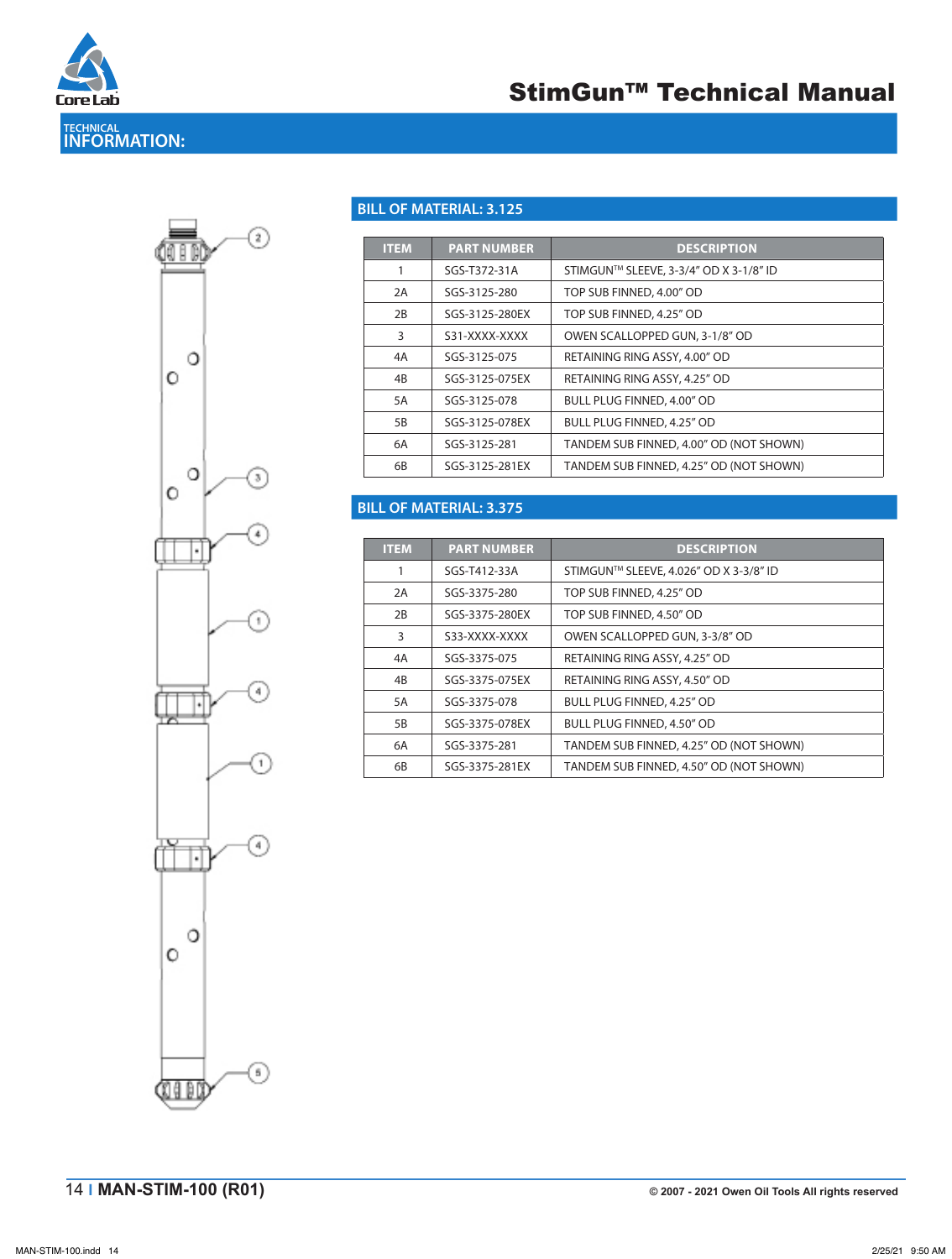



#### **BILL OF MATERIAL: 3.125**

| <b>ITEM</b> | <b>PART NUMBER</b> | <b>DESCRIPTION</b>                      |
|-------------|--------------------|-----------------------------------------|
|             | SGS-T372-31A       | STIMGUN™ SLEEVE, 3-3/4" OD X 3-1/8" ID  |
| 2A          | SGS-3125-280       | TOP SUB FINNED, 4.00" OD                |
| 2B          | SGS-3125-280EX     | TOP SUB FINNED, 4.25" OD                |
| 3           | S31-XXXX-XXXX      | OWEN SCALLOPPED GUN, 3-1/8" OD          |
| 4A          | SGS-3125-075       | RETAINING RING ASSY, 4.00" OD           |
| 4B          | SGS-3125-075EX     | RETAINING RING ASSY, 4.25" OD           |
| 5A          | SGS-3125-078       | BULL PLUG FINNED, 4.00" OD              |
| 5B          | SGS-3125-078FX     | BULL PLUG FINNED, 4.25" OD              |
| 6A          | SGS-3125-281       | TANDEM SUB FINNED, 4.00" OD (NOT SHOWN) |
| 6B          | SGS-3125-281EX     | TANDEM SUB FINNED, 4.25" OD (NOT SHOWN) |

#### **BILL OF MATERIAL: 3.375**

| <b>ITEM</b> | <b>PART NUMBER</b> | <b>DESCRIPTION</b>                      |
|-------------|--------------------|-----------------------------------------|
|             | SGS-T412-33A       | STIMGUN™ SLEEVE, 4.026" OD X 3-3/8" ID  |
| 2A          | SGS-3375-280       | TOP SUB FINNED, 4.25" OD                |
| 2B          | SGS-3375-280EX     | TOP SUB FINNED, 4.50" OD                |
| 3           | S33-XXXX-XXXX      | OWEN SCALLOPPED GUN, 3-3/8" OD          |
| 4A          | SGS-3375-075       | RETAINING RING ASSY, 4.25" OD           |
| 4B          | SGS-3375-075EX     | RETAINING RING ASSY, 4.50" OD           |
| 5A          | SGS-3375-078       | <b>BULL PLUG FINNED, 4.25" OD</b>       |
| 5B          | SGS-3375-078EX     | <b>BULL PLUG FINNED, 4.50" OD</b>       |
| 6A          | SGS-3375-281       | TANDEM SUB FINNED, 4.25" OD (NOT SHOWN) |
| 6B          | SGS-3375-281EX     | TANDEM SUB FINNED, 4.50" OD (NOT SHOWN) |

OWEN OIL TOOLS | www.corelab.com/owen | 1.800.333.6936 | +1.817.551.0540

**STIM-3.125\_3.375 (R01)**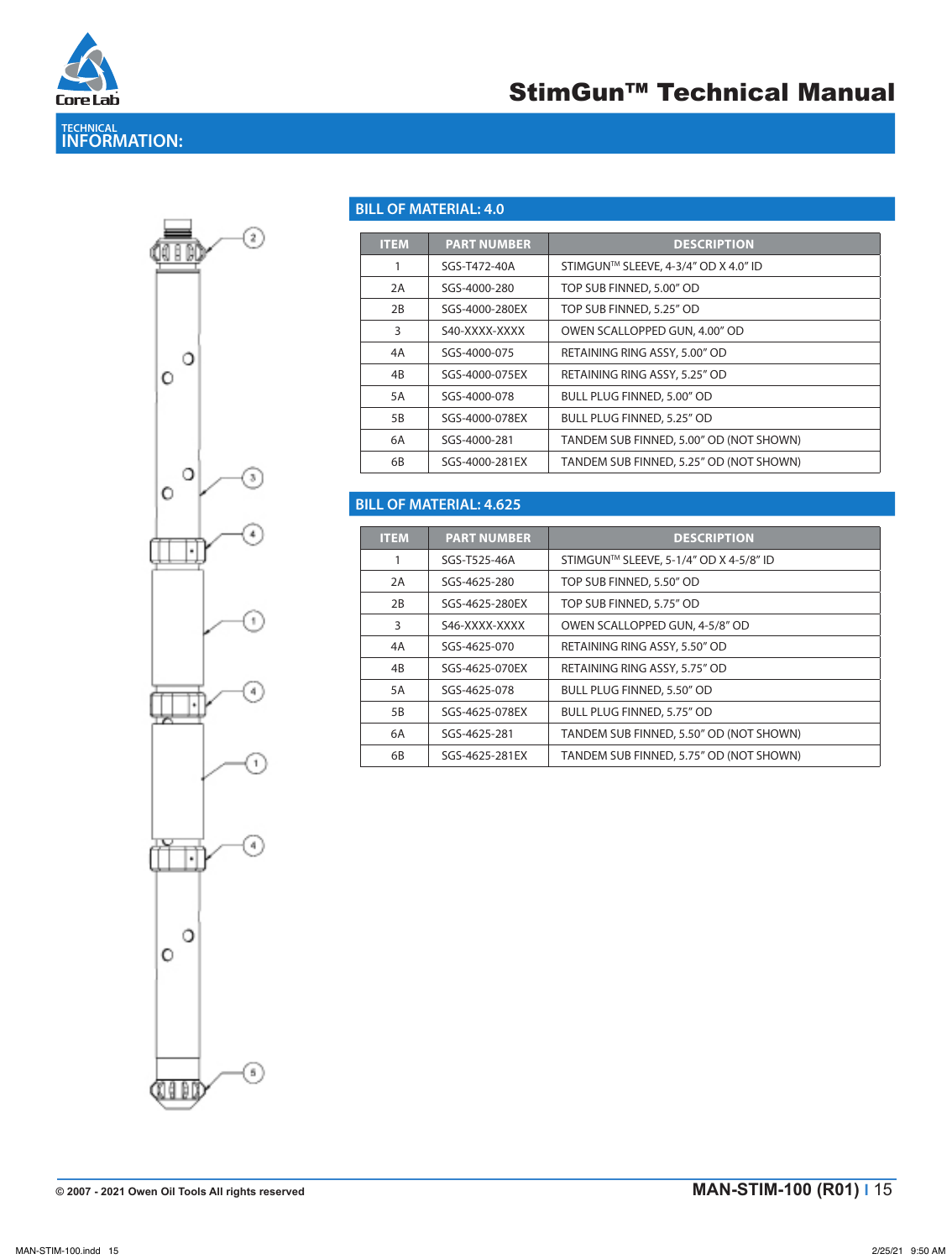

## StimGun™ Technical Manual

⊙ О  $\circ$ О J.  $\circ$ ٠ f,  $\blacktriangleleft$  $^{1}$ G) TÍ О  $\circ$ ⊙ **CILED** 

#### **BILL OF MATERIAL: 4.0**

| <b>ITEM</b> | <b>PART NUMBER</b> | <b>DESCRIPTION</b>                      |
|-------------|--------------------|-----------------------------------------|
| 1           | SGS-T472-40A       | STIMGUN™ SLEEVE, 4-3/4" OD X 4.0" ID    |
| 2A          | SGS-4000-280       | TOP SUB FINNED, 5.00" OD                |
| 2B          | SGS-4000-280EX     | TOP SUB FINNED, 5.25" OD                |
| 3           | S40-XXXX-XXXX      | OWEN SCALLOPPED GUN, 4.00" OD           |
| 4A          | SGS-4000-075       | RETAINING RING ASSY, 5.00" OD           |
| 4B          | SGS-4000-075FX     | RETAINING RING ASSY, 5.25" OD           |
| 5A          | SGS-4000-078       | BULL PLUG FINNED, 5.00" OD              |
| 5B          | SGS-4000-078EX     | BULL PLUG FINNED, 5.25" OD              |
| 6A          | SGS-4000-281       | TANDEM SUB FINNED, 5.00" OD (NOT SHOWN) |
| 6B          | SGS-4000-281EX     | TANDEM SUB FINNED, 5.25" OD (NOT SHOWN) |

#### **BILL OF MATERIAL: 4.625**

| <b>ITEM</b> | <b>PART NUMBER</b> | <b>DESCRIPTION</b>                      |
|-------------|--------------------|-----------------------------------------|
|             | SGS-T525-46A       | STIMGUN™ SLEEVE, 5-1/4" OD X 4-5/8" ID  |
| 2A          | SGS-4625-280       | TOP SUB FINNED, 5.50" OD                |
| 2B          | SGS-4625-280EX     | TOP SUB FINNED, 5.75" OD                |
| 3           | S46-XXXX-XXXX      | OWEN SCALLOPPED GUN, 4-5/8" OD          |
| 4A          | SGS-4625-070       | RETAINING RING ASSY, 5.50" OD           |
| 4B          | SGS-4625-070EX     | RETAINING RING ASSY, 5.75" OD           |
| 5A          | SGS-4625-078       | BULL PLUG FINNED, 5.50" OD              |
| 5B          | SGS-4625-078EX     | BULL PLUG FINNED, 5.75" OD              |
| 6A          | SGS-4625-281       | TANDEM SUB FINNED, 5.50" OD (NOT SHOWN) |
| 6B          | SGS-4625-281EX     | TANDEM SUB FINNED, 5.75" OD (NOT SHOWN) |

OWEN OIL TOOLS | www.corelab.com/owen | 1.800.333.6936 | +1.817.551.0540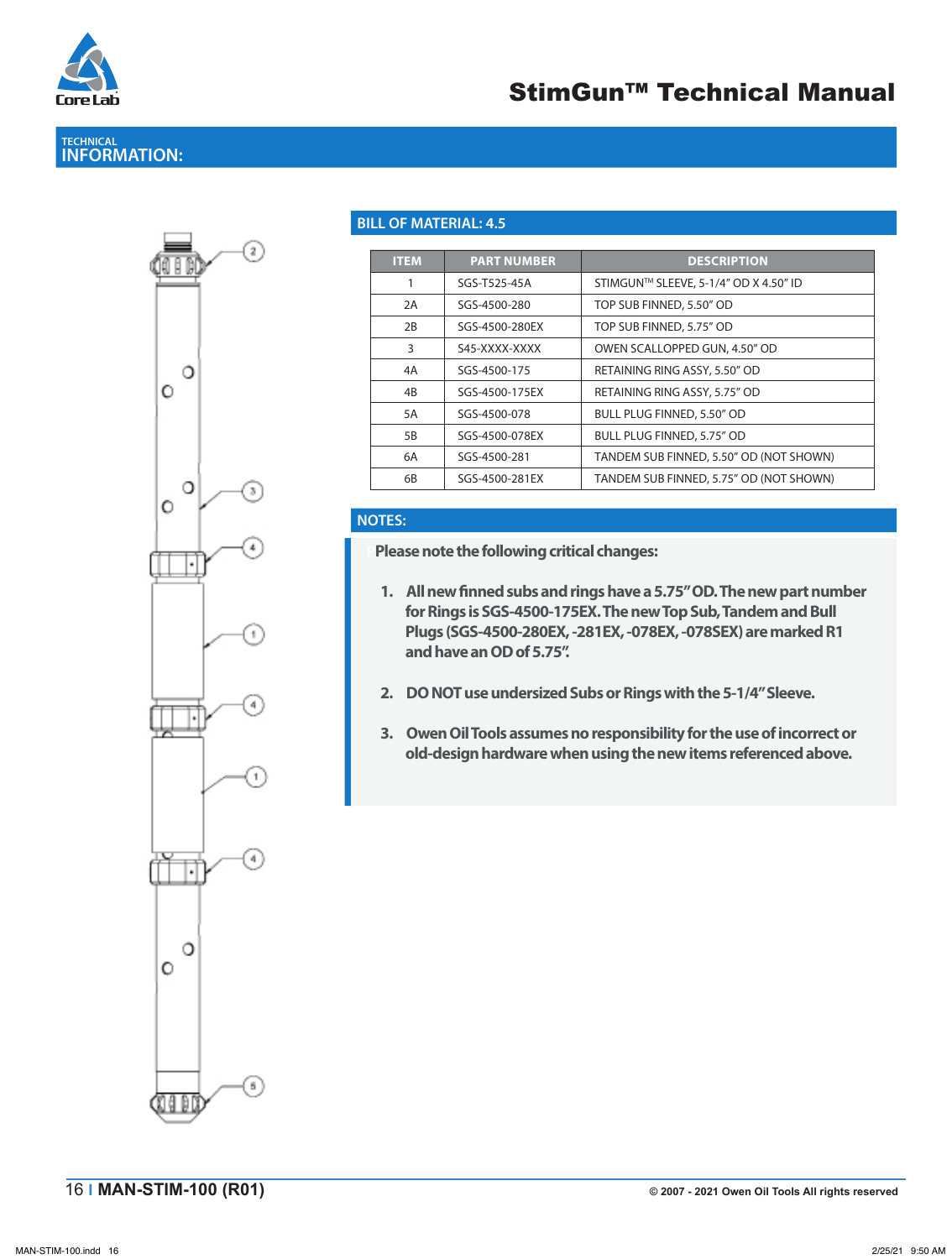

## **TECHNICAL INFORMATION:**



#### **BILL OF MATERIAL: 4.5**

| <b>ITEM</b> | <b>PART NUMBER</b> | <b>DESCRIPTION</b>                      |
|-------------|--------------------|-----------------------------------------|
|             | SGS-T525-45A       | STIMGUN™ SLEEVE, 5-1/4" OD X 4.50" ID   |
| 2A          | SGS-4500-280       | TOP SUB FINNED, 5.50" OD                |
| 2B          | SGS-4500-280EX     | TOP SUB FINNED, 5.75" OD                |
| 3           | S45-XXXX-XXXX      | OWEN SCALLOPPED GUN, 4.50" OD           |
| 4A          | SGS-4500-175       | RETAINING RING ASSY, 5.50" OD           |
| 4B          | SGS-4500-175EX     | RETAINING RING ASSY, 5.75" OD           |
| 5A          | SGS-4500-078       | BULL PLUG FINNED, 5.50" OD              |
| 5B          | SGS-4500-078EX     | BULL PLUG FINNED, 5.75" OD              |
| 6A          | SGS-4500-281       | TANDEM SUB FINNED, 5.50" OD (NOT SHOWN) |
| 6B          | SGS-4500-281EX     | TANDEM SUB FINNED, 5.75" OD (NOT SHOWN) |

#### **NOTES:**

**PPlease note the following critical changes:**

- 1. All new finned subs and rings have a 5.75" OD. The new part number **for Rings is SGS-4500-175EX. The new Top Sub, Tandem and Bull Plugs (SGS-4500-280EX, -281EX, -078EX, -078SEX) are marked R1 and have an OD of 5.75".**
- **2. DO NOT use undersized Subs or Rings with the 5-1/4" Sleeve.**
- **3. Owen Oil Tools assumes no responsibility for the use of incorrect or old-design hardware when using the new items referenced above.**